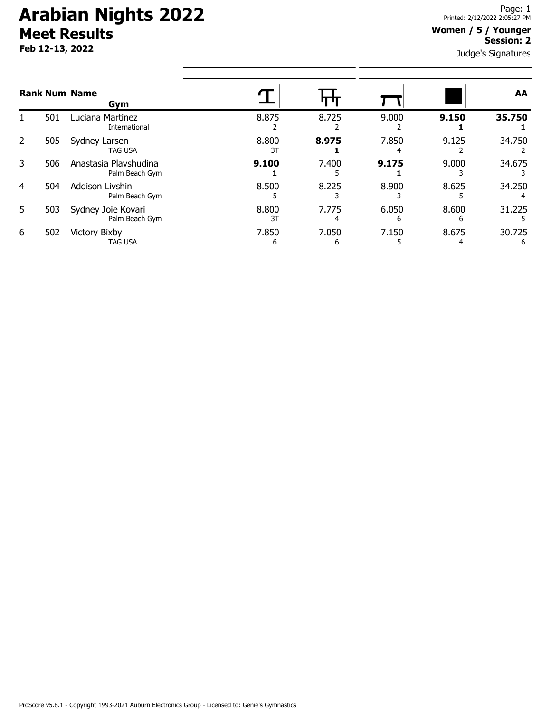# **Arabian Nights 2022 Meet Results**

**Feb 12-13, 2022**

### **Women / 5 / Younger Session: 2**

Judge's Signatures

| <b>Rank Num Name</b><br>Gym |     |                                         |             |            |            |            | <b>AA</b>   |
|-----------------------------|-----|-----------------------------------------|-------------|------------|------------|------------|-------------|
|                             | 501 | Luciana Martinez<br>International       | 8.875       | 8.725      | 9.000      | 9.150      | 35.750      |
| 2                           | 505 | Sydney Larsen<br><b>TAG USA</b>         | 8.800<br>3T | 8.975      | 7.850      | 9.125      | 34.750      |
| 3                           | 506 | Anastasia Plavshudina<br>Palm Beach Gym | 9.100       | 7.400      | 9.175      | 9.000      | 34.675      |
| 4                           | 504 | Addison Livshin<br>Palm Beach Gym       | 8.500       | 8.225      | 8.900      | 8.625      | 34.250      |
| 5                           | 503 | Sydney Joie Kovari<br>Palm Beach Gym    | 8.800<br>3T | 7.775<br>4 | 6.050<br>h | 8.600<br>6 | 31.225      |
| 6                           | 502 | <b>Victory Bixby</b><br>TAG USA         | 7.850<br>6  | 7.050<br>h | 7.150      | 8.675      | 30.725<br>6 |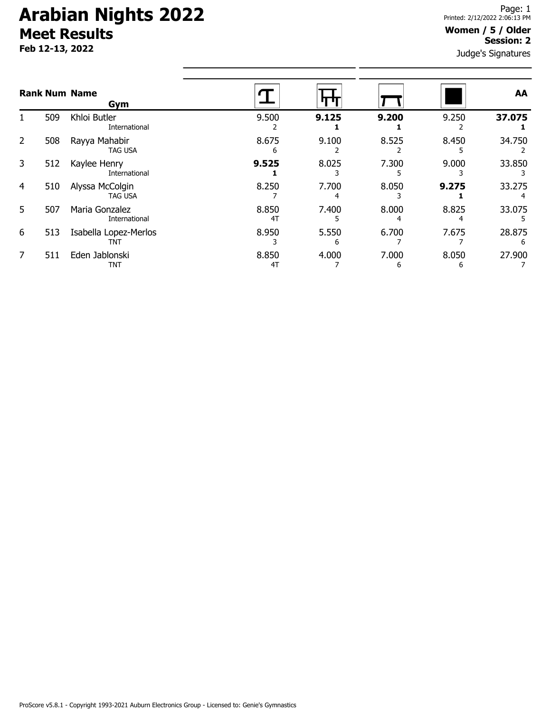# **Arabian Nights 2022 Meet Results**

**Feb 12-13, 2022**

### **Women / 5 / Older Session: 2**

Judge's Signatures

| <b>Rank Num Name</b><br>Gym |     |                                   |             |       |            |            | AA     |
|-----------------------------|-----|-----------------------------------|-------------|-------|------------|------------|--------|
|                             | 509 | Khloi Butler<br>International     | 9.500       | 9.125 | 9.200      | 9.250      | 37.075 |
| $\overline{2}$              | 508 | Rayya Mahabir<br><b>TAG USA</b>   | 8.675<br>h  | 9.100 | 8.525      | 8.450      | 34.750 |
| 3                           | 512 | Kaylee Henry<br>International     | 9.525       | 8.025 | 7.300      | 9.000      | 33.850 |
| 4                           | 510 | Alyssa McColgin<br><b>TAG USA</b> | 8.250       | 7.700 | 8.050      | 9.275      | 33.275 |
| 5.                          | 507 | Maria Gonzalez<br>International   | 8.850<br>4T | 7.400 | 8.000      | 8.825      | 33.075 |
| 6                           | 513 | Isabella Lopez-Merlos<br>TNT      | 8.950       | 5.550 | 6.700      | 7.675      | 28.875 |
|                             | 511 | Eden Jablonski<br>TNT             | 8.850<br>4T | 4.000 | 7.000<br>ь | 8.050<br>6 | 27.900 |